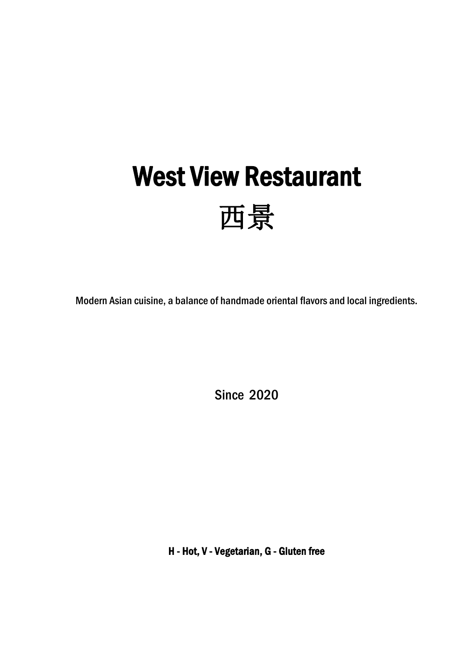# West View Restaurant 西景

Modern Asian cuisine, a balance of handmade oriental flavors and local ingredients.

Since 2020

H - Hot, V - Vegetarian, G - Gluten free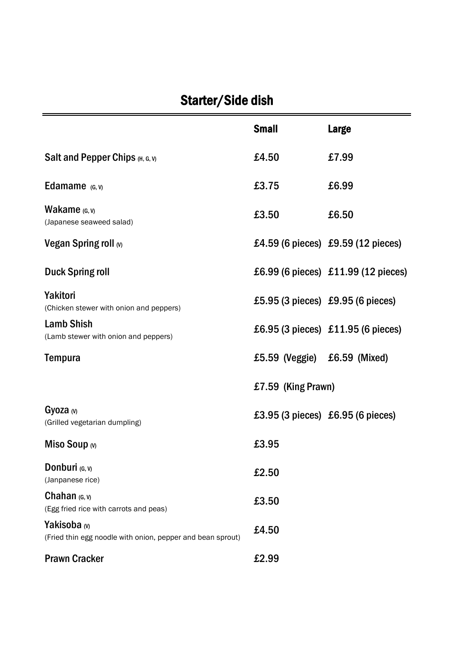# Starter/Side dish

|                                                                                       | <b>Small</b>                 | <b>Large</b>                        |
|---------------------------------------------------------------------------------------|------------------------------|-------------------------------------|
| Salt and Pepper Chips (H, G, V)                                                       | £4.50                        | £7.99                               |
| Edamame $(G, V)$                                                                      | £3.75                        | £6.99                               |
| <b>Wakame</b> $(G, V)$<br>(Japanese seaweed salad)                                    | £3.50                        | £6.50                               |
| Vegan Spring roll (v)                                                                 |                              | £4.59 (6 pieces) £9.59 (12 pieces)  |
| <b>Duck Spring roll</b>                                                               |                              | £6.99 (6 pieces) £11.99 (12 pieces) |
| <b>Yakitori</b><br>(Chicken stewer with onion and peppers)                            |                              | £5.95 (3 pieces) £9.95 (6 pieces)   |
| <b>Lamb Shish</b><br>(Lamb stewer with onion and peppers)                             |                              | £6.95 (3 pieces) £11.95 (6 pieces)  |
| <b>Tempura</b>                                                                        | £5.59 (Veggie) £6.59 (Mixed) |                                     |
|                                                                                       | £7.59 (King Prawn)           |                                     |
| Gyoza $(w)$<br>(Grilled vegetarian dumpling)                                          |                              | £3.95 (3 pieces) £6.95 (6 pieces)   |
| Miso Soup $\omega$                                                                    | £3.95                        |                                     |
| <b>Donburi</b> $(G, V)$<br>(Janpanese rice)                                           | £2.50                        |                                     |
| Chahan $(G, V)$<br>(Egg fried rice with carrots and peas)                             | £3.50                        |                                     |
| Yakisoba <sub>(v)</sub><br>(Fried thin egg noodle with onion, pepper and bean sprout) | £4.50                        |                                     |
| <b>Prawn Cracker</b>                                                                  | £2.99                        |                                     |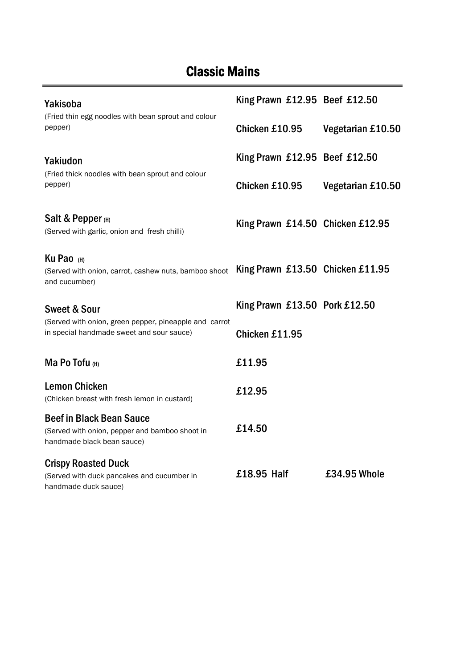# Classic Mains

÷.

| Yakisoba                                                                                                              | King Prawn £12.95 Beef £12.50    |                   |
|-----------------------------------------------------------------------------------------------------------------------|----------------------------------|-------------------|
| (Fried thin egg noodles with bean sprout and colour<br>pepper)                                                        | Chicken £10.95                   | Vegetarian £10.50 |
| Yakiudon                                                                                                              | King Prawn £12.95 Beef £12.50    |                   |
| (Fried thick noodles with bean sprout and colour<br>pepper)                                                           | Chicken £10.95                   | Vegetarian £10.50 |
| Salt & Pepper $(H)$<br>(Served with garlic, onion and fresh chilli)                                                   | King Prawn £14.50 Chicken £12.95 |                   |
| Ku Pao (H)<br>(Served with onion, carrot, cashew nuts, bamboo shoot King Prawn £13.50 Chicken £11.95<br>and cucumber) |                                  |                   |
| <b>Sweet &amp; Sour</b>                                                                                               | King Prawn £13.50 Pork £12.50    |                   |
| (Served with onion, green pepper, pineapple and carrot<br>in special handmade sweet and sour sauce)                   | Chicken £11.95                   |                   |
| Ma Po Tofu $(H)$                                                                                                      | £11.95                           |                   |
| <b>Lemon Chicken</b><br>(Chicken breast with fresh lemon in custard)                                                  | £12.95                           |                   |
| <b>Beef in Black Bean Sauce</b><br>(Served with onion, pepper and bamboo shoot in<br>handmade black bean sauce)       | £14.50                           |                   |
| <b>Crispy Roasted Duck</b><br>(Served with duck pancakes and cucumber in<br>handmade duck sauce)                      | £18.95 Half                      | £34.95 Whole      |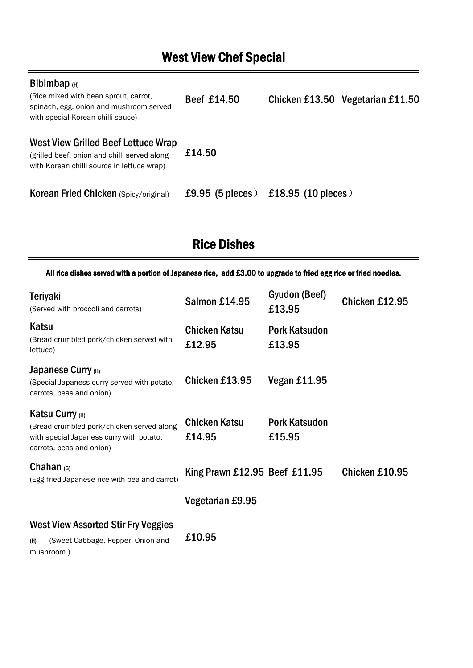# West View Chef Special

#### Bibimbap (H)

| (Rice mixed with bean sprout, carrot,<br>spinach, egg, onion and mushroom served<br>with special Korean chilli sauce)             | Beef £14.50      |                    | Chicken £13.50 Vegetarian £11.50 |
|-----------------------------------------------------------------------------------------------------------------------------------|------------------|--------------------|----------------------------------|
| West View Grilled Beef Lettuce Wrap<br>(grilled beef, onion and chilli served along<br>with Korean chilli source in lettuce wrap) | £14.50           |                    |                                  |
| <b>Korean Fried Chicken (Spicy/original)</b>                                                                                      | £9.95 (5 pieces) | £18.95 (10 pieces) |                                  |

# Rice Dishes

All rice dishes served with a portion of Japanese rice, add £3.00 to upgrade to fried egg rice or fried noodles.

| <b>Teriyaki</b><br>(Served with broccoli and carrots)                                                                                | Salmon £14.95                  | Gyudon (Beef)<br>£13.95        | Chicken £12.95 |
|--------------------------------------------------------------------------------------------------------------------------------------|--------------------------------|--------------------------------|----------------|
| Katsu<br>(Bread crumbled pork/chicken served with<br>lettuce)                                                                        | <b>Chicken Katsu</b><br>£12.95 | <b>Pork Katsudon</b><br>£13.95 |                |
| Japanese Curry (H)<br>(Special Japaness curry served with potato,<br>carrots, peas and onion)                                        | Chicken £13.95                 | Vegan £11.95                   |                |
| Katsu Curry (H)<br>(Bread crumbled pork/chicken served along<br>with special Japaness curry with potato,<br>carrots, peas and onion) | <b>Chicken Katsu</b><br>£14.95 | <b>Pork Katsudon</b><br>£15.95 |                |
| Chahan $(G)$<br>(Egg fried Japanese rice with pea and carrot)                                                                        | King Prawn £12.95 Beef £11.95  |                                | Chicken £10.95 |
|                                                                                                                                      | Vegetarian £9.95               |                                |                |
| <b>West View Assorted Stir Fry Veggies</b><br>(Sweet Cabbage, Pepper, Onion and<br>(H)<br>mushroom)                                  | £10.95                         |                                |                |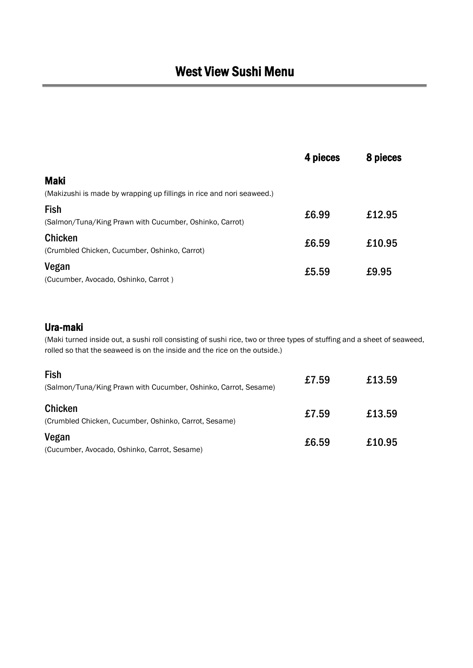# West View Sushi Menu

|                                                                        | 4 pieces | 8 pieces |
|------------------------------------------------------------------------|----------|----------|
| <b>Maki</b>                                                            |          |          |
| (Makizushi is made by wrapping up fillings in rice and nori seaweed.)  |          |          |
| <b>Fish</b><br>(Salmon/Tuna/King Prawn with Cucumber, Oshinko, Carrot) | £6.99    | £12.95   |
| <b>Chicken</b><br>(Crumbled Chicken, Cucumber, Oshinko, Carrot)        | £6.59    | £10.95   |
| Vegan<br>(Cucumber, Avocado, Oshinko, Carrot)                          | £5.59    | £9.95    |

#### Ura-maki

(Maki turned inside out, a sushi roll consisting of sushi rice, two or three types of stuffing and a sheet of seaweed, rolled so that the seaweed is on the inside and the rice on the outside.)

| <b>Fish</b><br>(Salmon/Tuna/King Prawn with Cucumber, Oshinko, Carrot, Sesame) | £7.59 | £13.59 |
|--------------------------------------------------------------------------------|-------|--------|
| <b>Chicken</b><br>(Crumbled Chicken, Cucumber, Oshinko, Carrot, Sesame)        | £7.59 | £13.59 |
| Vegan<br>(Cucumber, Avocado, Oshinko, Carrot, Sesame)                          | £6.59 | £10.95 |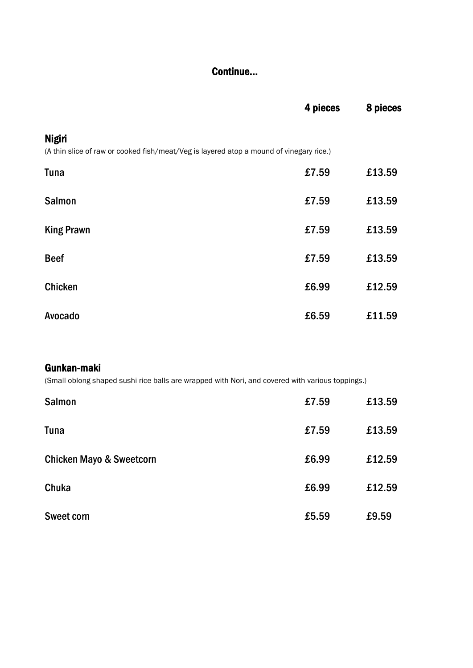#### Continue...

|                                                                                                          | 4 pieces | 8 pieces |
|----------------------------------------------------------------------------------------------------------|----------|----------|
| <b>Nigiri</b><br>(A thin slice of raw or cooked fish/meat/Veg is layered atop a mound of vinegary rice.) |          |          |
| <b>Tuna</b>                                                                                              | £7.59    | £13.59   |
| <b>Salmon</b>                                                                                            | £7.59    | £13.59   |
|                                                                                                          |          |          |
| <b>King Prawn</b>                                                                                        | £7.59    | £13.59   |
| <b>Beef</b>                                                                                              | £7.59    | £13.59   |
| <b>Chicken</b>                                                                                           | £6.99    | £12.59   |
| Avocado                                                                                                  | £6.59    | £11.59   |

#### Gunkan-maki

(Small oblong shaped sushi rice balls are wrapped with Nori, and covered with various toppings.)

| <b>Salmon</b>                       | £7.59 | £13.59 |
|-------------------------------------|-------|--------|
| <b>Tuna</b>                         | £7.59 | £13.59 |
| <b>Chicken Mayo &amp; Sweetcorn</b> | £6.99 | £12.59 |
| Chuka                               | £6.99 | £12.59 |
| <b>Sweet corn</b>                   | £5.59 | £9.59  |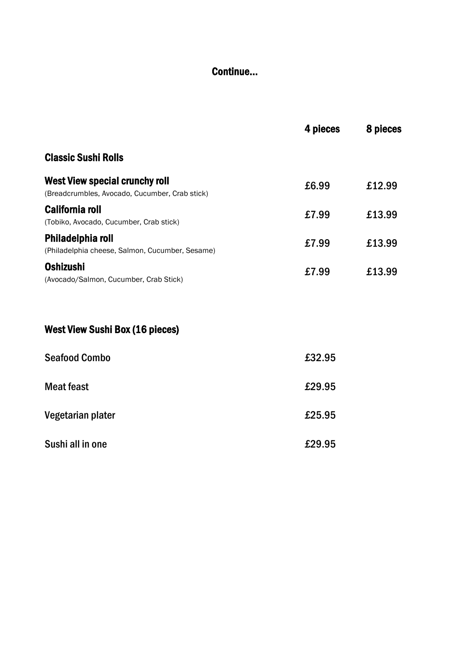### Continue...

| <b>Classic Sushi Rolls</b><br><b>West View special crunchy roll</b><br>£6.99<br>£12.99<br>(Breadcrumbles, Avocado, Cucumber, Crab stick)<br><b>California roll</b><br>£13.99<br>£7.99<br>(Tobiko, Avocado, Cucumber, Crab stick)<br>Philadelphia roll<br>£7.99<br>£13.99<br>(Philadelphia cheese, Salmon, Cucumber, Sesame)<br><b>Oshizushi</b><br>£7.99<br>£13.99<br>(Avocado/Salmon, Cucumber, Crab Stick) | 4 pieces | 8 pieces |
|--------------------------------------------------------------------------------------------------------------------------------------------------------------------------------------------------------------------------------------------------------------------------------------------------------------------------------------------------------------------------------------------------------------|----------|----------|
|                                                                                                                                                                                                                                                                                                                                                                                                              |          |          |
|                                                                                                                                                                                                                                                                                                                                                                                                              |          |          |
|                                                                                                                                                                                                                                                                                                                                                                                                              |          |          |
|                                                                                                                                                                                                                                                                                                                                                                                                              |          |          |
|                                                                                                                                                                                                                                                                                                                                                                                                              |          |          |
|                                                                                                                                                                                                                                                                                                                                                                                                              |          |          |

## West View Sushi Box (16 pieces)

| <b>Seafood Combo</b> | £32.95 |
|----------------------|--------|
| Meat feast           | £29.95 |
| Vegetarian plater    | £25.95 |
| Sushi all in one     | £29.95 |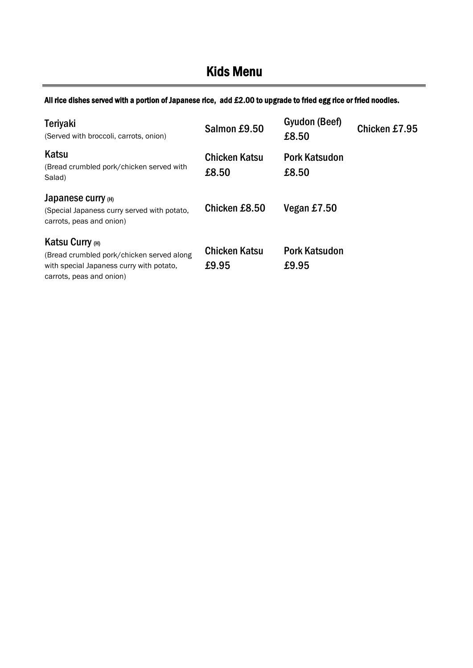# Kids Menu

All rice dishes served with a portion of Japanese rice, add £2.00 to upgrade to fried egg rice or fried noodles.

| <b>Teriyaki</b><br>(Served with broccoli, carrots, onion)                                                                            | Salmon £9.50                  | Gyudon (Beef)<br>£8.50        | Chicken £7.95 |
|--------------------------------------------------------------------------------------------------------------------------------------|-------------------------------|-------------------------------|---------------|
| Katsu<br>(Bread crumbled pork/chicken served with<br>Salad)                                                                          | <b>Chicken Katsu</b><br>£8.50 | <b>Pork Katsudon</b><br>£8.50 |               |
| Japanese curry (H)<br>(Special Japaness curry served with potato,<br>carrots, peas and onion)                                        | Chicken £8.50                 | Vegan £7.50                   |               |
| Katsu Curry (H)<br>(Bread crumbled pork/chicken served along<br>with special Japaness curry with potato,<br>carrots, peas and onion) | <b>Chicken Katsu</b><br>£9.95 | <b>Pork Katsudon</b><br>£9.95 |               |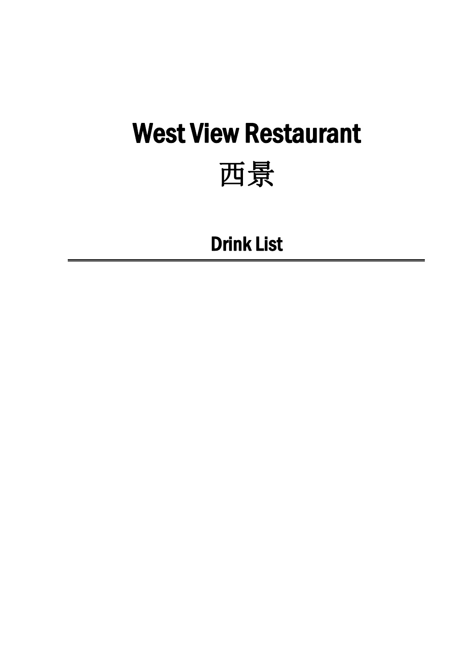# West View Restaurant

# 西景

# Drink List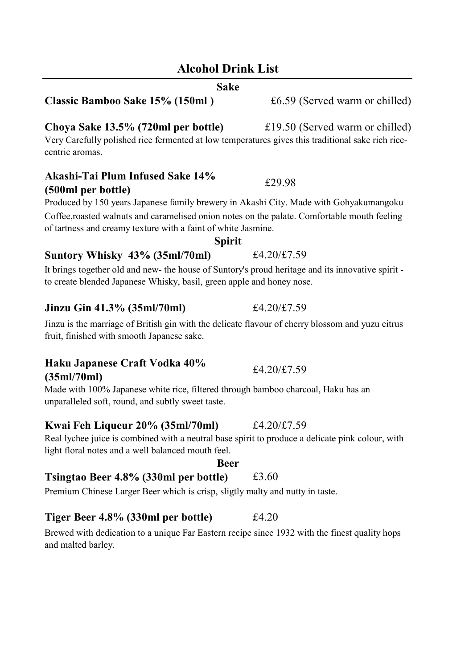### **Alcohol Drink List**

#### **Sake**

#### **Classic Bamboo Sake 15% (150ml )** £6.59 (Served warm or chilled)

#### **Choya Sake 13.5% (720ml per bottle)** £19.50 (Served warm or chilled)

Very Carefully polished rice fermented at low temperatures gives this traditional sake rich rice centric aromas.

#### **Akashi-Tai Plum Infused Sake 14% (500ml per bottle)**

Produced by 150 years Japanese family brewery in Akashi City. Made with Gohyakumangoku Coffee, roasted walnuts and caramelised onion notes on the palate. Comfortable mouth feeling of tartness and creamy texture with a faint of white Jasmine.

#### **Suntory Whisky 43% (35ml/70ml)** £4.20/£7.59

It brings together old and new- the house of Suntory's proud heritage and its innovative spirit to create blended Japanese Whisky, basil, green apple and honey nose.

#### **Jinzu Gin 41.3% (35ml/70ml)** £4.20/£7.59

Jinzu is the marriage of British gin with the delicate flavour of cherry blossom and yuzu citrus fruit, finished with smooth Japanese sake.

#### **Haku Japanese Craft Vodka 40% (35ml/70ml)** £4.20/£7.59

Made with 100% Japanese white rice, filtered through bamboo charcoal, Haku has an unparalleled soft, round, and subtly sweet taste.

#### **Kwai Feh Liqueur 20% (35ml/70ml)** £4.20/£7.59

Real lychee juice is combined with a neutral base spirit to produce a delicate pink colour, with light floral notes and a well balanced mouth feel.

#### **Beer**

### **Tsingtao Beer 4.8% (330ml per bottle)** £3.60

Premium Chinese Larger Beer which is crisp, sligtly malty and nutty in taste.

#### **Tiger Beer 4.8% (330ml per bottle)** £4.20

Brewed with dedication to a unique Far Eastern recipe since 1932 with the finest quality hops and malted barley.

### **Spirit**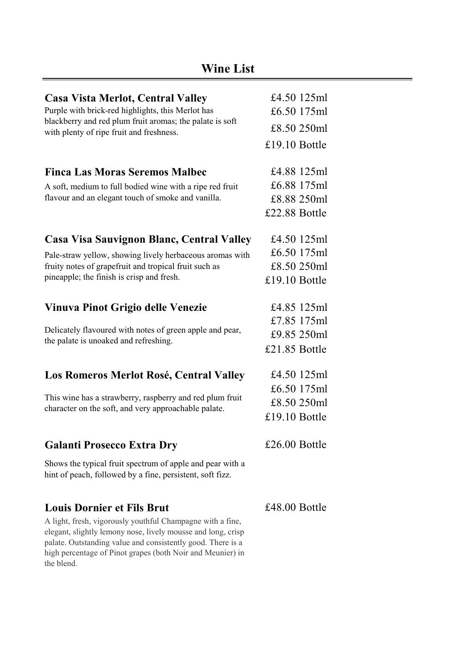| <b>Casa Vista Merlot, Central Valley</b><br>Purple with brick-red highlights, this Merlot has                          | £4.50 125ml<br>£6.50 175ml |  |
|------------------------------------------------------------------------------------------------------------------------|----------------------------|--|
| blackberry and red plum fruit aromas; the palate is soft<br>with plenty of ripe fruit and freshness.                   | £8.50 250ml                |  |
|                                                                                                                        | £19.10 Bottle              |  |
| <b>Finca Las Moras Seremos Malbec</b>                                                                                  | £4.88 125ml                |  |
| A soft, medium to full bodied wine with a ripe red fruit                                                               | £6.88 175ml                |  |
| flavour and an elegant touch of smoke and vanilla.                                                                     | £8.88 250ml                |  |
|                                                                                                                        | £22.88 Bottle              |  |
| Casa Visa Sauvignon Blanc, Central Valley                                                                              | £4.50 $125ml$              |  |
| Pale-straw yellow, showing lively herbaceous aromas with                                                               | £6.50 175ml                |  |
| fruity notes of grapefruit and tropical fruit such as                                                                  | £8.50 250ml                |  |
| pineapple; the finish is crisp and fresh.                                                                              | £19.10 Bottle              |  |
| Vinuva Pinot Grigio delle Venezie                                                                                      | £4.85 125ml                |  |
|                                                                                                                        | £7.85 175ml                |  |
| Delicately flavoured with notes of green apple and pear,<br>the palate is unoaked and refreshing.                      | £9.85 250ml                |  |
|                                                                                                                        | £21.85 Bottle              |  |
| Los Romeros Merlot Rosé, Central Valley                                                                                | £4.50 125ml                |  |
|                                                                                                                        | £6.50 175ml                |  |
| This wine has a strawberry, raspberry and red plum fruit<br>character on the soft, and very approachable palate.       | £8.50 250ml                |  |
|                                                                                                                        | £19.10 Bottle              |  |
| <b>Galanti Prosecco Extra Dry</b>                                                                                      | £26.00 Bottle              |  |
| Shows the typical fruit spectrum of apple and pear with a<br>hint of peach, followed by a fine, persistent, soft fizz. |                            |  |
| <b>Louis Dornier et Fils Brut</b>                                                                                      | £48.00 Bottle              |  |

A light, fresh, vigorously youthful Champagne with a fine, elegant, slightly lemony nose, lively mousse and long, crisp palate. Outstanding value and consistently good. There is a high percentage of Pinot grapes (both Noir and Meunier) in the blend.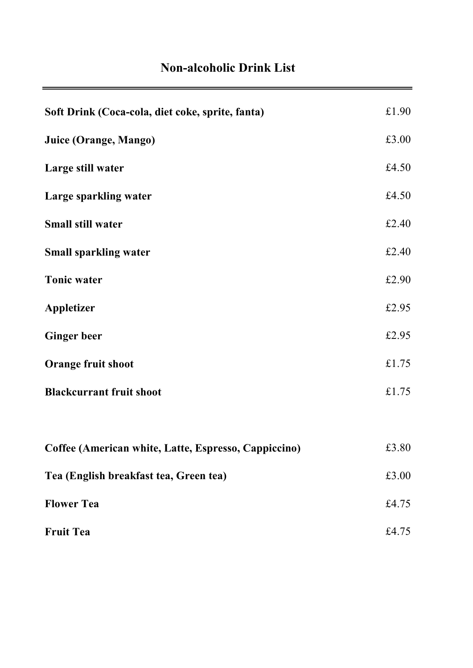## **Non-alcoholic Drink List**

| Soft Drink (Coca-cola, diet coke, sprite, fanta)     | £1.90 |
|------------------------------------------------------|-------|
| Juice (Orange, Mango)                                | £3.00 |
| Large still water                                    | £4.50 |
| Large sparkling water                                | £4.50 |
| <b>Small still water</b>                             | £2.40 |
| <b>Small sparkling water</b>                         | £2.40 |
| <b>Tonic water</b>                                   | £2.90 |
| <b>Appletizer</b>                                    | £2.95 |
| <b>Ginger beer</b>                                   | £2.95 |
| <b>Orange fruit shoot</b>                            | £1.75 |
| <b>Blackcurrant fruit shoot</b>                      | £1.75 |
|                                                      |       |
| Coffee (American white, Latte, Espresso, Cappiccino) | £3.80 |
| Tea (English breakfast tea, Green tea)               | £3.00 |
| <b>Flower Tea</b>                                    | £4.75 |
| <b>Fruit Tea</b>                                     | £4.75 |